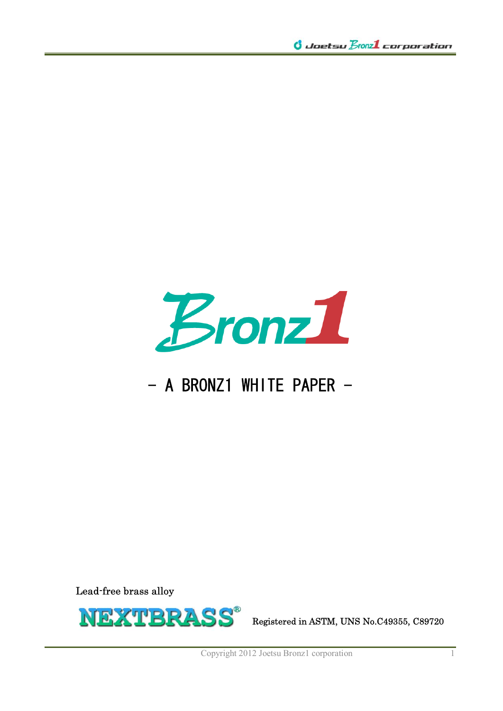

# $-$  A BRONZ1 WHITE PAPER  $-$

Lead-free brass alloy



Copyright 2012 Joetsu Bronz1 corporation 1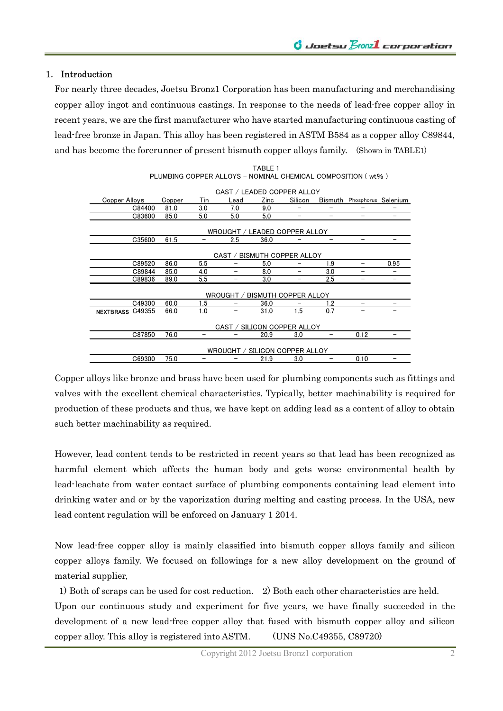## 1. Introduction

For nearly three decades, Joetsu Bronz1 Corporation has been manufacturing and merchandising copper alloy ingot and continuous castings. In response to the needs of lead-free copper alloy in recent years, we are the first manufacturer who have started manufacturing continuous casting of lead-free bronze in Japan. This alloy has been registered in ASTM B584 as a copper alloy C89844, and has become the forerunner of present bismuth copper alloys family. (Shown in TABLE1)

|                             |        |     | CAST / LEADED COPPER ALLOY     |      |                             |     |                             |      |
|-----------------------------|--------|-----|--------------------------------|------|-----------------------------|-----|-----------------------------|------|
| Copper Alloys               | Copper | Tin | Lead                           | Zinc | Silicon                     |     | Bismuth Phosphorus Selenium |      |
| C84400                      | 81.0   | 3.0 | 7.0                            | 9.0  | -                           | -   | -                           | -    |
| C83600                      | 85.0   | 5.0 | 5.0                            | 5.0  |                             |     | -                           |      |
|                             |        |     | WROUGHT / LEADED COPPER ALLOY  |      |                             |     |                             |      |
| C35600                      | 61.5   |     | 2.5                            | 36.0 |                             |     |                             | -    |
|                             |        |     | CAST /                         |      | BISMUTH COPPER ALLOY        |     |                             |      |
| C89520                      | 86.0   | 5.5 |                                | 5.0  |                             | 1.9 | -                           | 0.95 |
| C89844                      | 85.0   | 4.0 | -                              | 8.0  |                             | 3.0 | -                           | -    |
| C89836                      | 89.0   | 5.5 |                                | 3.0  |                             | 2.5 | -                           |      |
|                             |        |     | WROUGHT /                      |      | <b>BISMUTH COPPER ALLOY</b> |     |                             |      |
| C49300                      | 60.0   | 1.5 |                                | 36.0 |                             | 1.2 |                             | -    |
| C49355<br><b>NEXTBRASS</b>  | 66.0   | 1.0 |                                | 31.0 | 1.5                         | 0.7 |                             |      |
| CAST / SILICON COPPER ALLOY |        |     |                                |      |                             |     |                             |      |
| C87850                      | 76.0   |     |                                | 20.9 | 3.0                         |     | 0.12                        |      |
|                             |        |     | WROUGHT / SILICON COPPER ALLOY |      |                             |     |                             |      |
| C69300                      | 75.0   |     |                                | 21.9 | 3.0                         |     | 0.10                        |      |

TABLE 1 PLUMBING COPPER ALLOYS - NOMINAL CHEMICAL COMPOSITION (wt%)

Copper alloys like bronze and brass have been used for plumbing components such as fittings and valves with the excellent chemical characteristics. Typically, better machinability is required for production of these products and thus, we have kept on adding lead as a content of alloy to obtain such better machinability as required.

However, lead content tends to be restricted in recent years so that lead has been recognized as harmful element which affects the human body and gets worse environmental health by lead-leachate from water contact surface of plumbing components containing lead element into drinking water and or by the vaporization during melting and casting process. In the USA, new lead content regulation will be enforced on January 1 2014.

Now lead-free copper alloy is mainly classified into bismuth copper alloys family and silicon copper alloys family. We focused on followings for a new alloy development on the ground of material supplier,

1) Both of scraps can be used for cost reduction. 2) Both each other characteristics are held.

Upon our continuous study and experiment for five years, we have finally succeeded in the development of a new lead-free copper alloy that fused with bismuth copper alloy and silicon copper alloy. This alloy is registered into ASTM. (UNS No.C49355, C89720)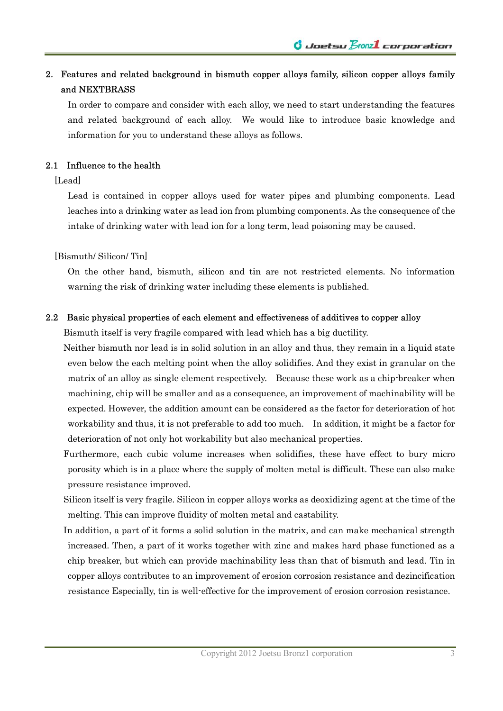## 2. Features and related background in bismuth copper alloys family, silicon copper alloys family and NEXTBRASS

In order to compare and consider with each alloy, we need to start understanding the features and related background of each alloy. We would like to introduce basic knowledge and information for you to understand these alloys as follows.

## 2.1 Influence to the health

[Lead]

Lead is contained in copper alloys used for water pipes and plumbing components. Lead leaches into a drinking water as lead ion from plumbing components. As the consequence of the intake of drinking water with lead ion for a long term, lead poisoning may be caused.

[Bismuth/ Silicon/ Tin]

On the other hand, bismuth, silicon and tin are not restricted elements. No information warning the risk of drinking water including these elements is published.

## 2.2 Basic physical properties of each element and effectiveness of additives to copper alloy

Bismuth itself is very fragile compared with lead which has a big ductility.

Neither bismuth nor lead is in solid solution in an alloy and thus, they remain in a liquid state even below the each melting point when the alloy solidifies. And they exist in granular on the matrix of an alloy as single element respectively. Because these work as a chip-breaker when machining, chip will be smaller and as a consequence, an improvement of machinability will be expected. However, the addition amount can be considered as the factor for deterioration of hot workability and thus, it is not preferable to add too much. In addition, it might be a factor for deterioration of not only hot workability but also mechanical properties.

Furthermore, each cubic volume increases when solidifies, these have effect to bury micro porosity which is in a place where the supply of molten metal is difficult. These can also make pressure resistance improved.

Silicon itself is very fragile. Silicon in copper alloys works as deoxidizing agent at the time of the melting. This can improve fluidity of molten metal and castability.

In addition, a part of it forms a solid solution in the matrix, and can make mechanical strength increased. Then, a part of it works together with zinc and makes hard phase functioned as a chip breaker, but which can provide machinability less than that of bismuth and lead. Tin in copper alloys contributes to an improvement of erosion corrosion resistance and dezincification resistance Especially, tin is well-effective for the improvement of erosion corrosion resistance.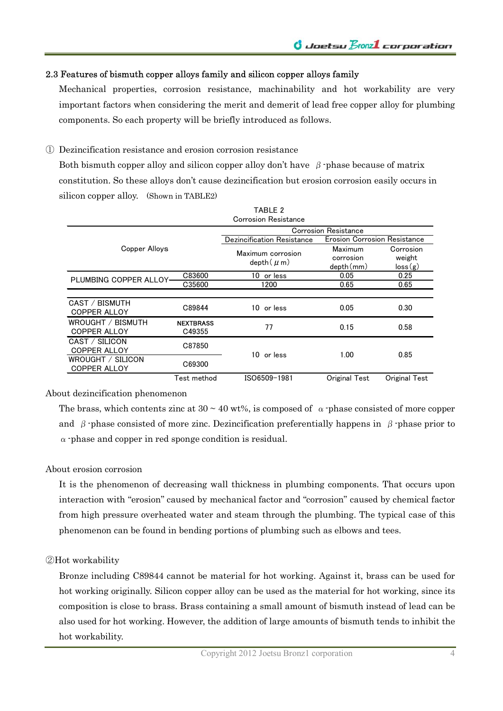## 2.3 Features of bismuth copper alloys family and silicon copper alloys family

Mechanical properties, corrosion resistance, machinability and hot workability are very important factors when considering the merit and demerit of lead free copper alloy for plumbing components. So each property will be briefly introduced as follows.

① Dezincification resistance and erosion corrosion resistance

Both bismuth copper alloy and silicon copper alloy don't have  $\beta$ -phase because of matrix constitution. So these alloys don't cause dezincification but erosion corrosion easily occurs in silicon copper alloy. (Shown in TABLE2)

|                                          |                            | TABLE 2                     |                                     |               |  |
|------------------------------------------|----------------------------|-----------------------------|-------------------------------------|---------------|--|
|                                          |                            | <b>Corrosion Resistance</b> |                                     |               |  |
|                                          |                            |                             | Corrosion Resistance                |               |  |
| Copper Alloys                            |                            | Dezincification Resistance  | <b>Erosion Corrosion Resistance</b> |               |  |
|                                          |                            | Maximum corrosion           | Maximum                             | Corrosion     |  |
|                                          |                            | $depth( \mu m)$             | corrosion                           | weight        |  |
|                                          |                            |                             | depth(mm)                           | loss(g)       |  |
| PLUMBING COPPER ALLOY-                   | C83600                     | 10 or less                  | 0.05                                | 0.25          |  |
|                                          | C35600                     | 1200                        | 0.65                                | 0.65          |  |
|                                          |                            |                             |                                     |               |  |
| CAST / BISMUTH                           | C89844                     | 10 or less                  | 0.05                                | 0.30          |  |
| <b>COPPER ALLOY</b>                      |                            |                             |                                     |               |  |
| WROUGHT / BISMUTH<br><b>COPPER ALLOY</b> | <b>NEXTBRASS</b><br>C49355 | 77                          | 0.15                                | 0.58          |  |
| CAST / SILICON<br><b>COPPER ALLOY</b>    | C87850                     |                             |                                     |               |  |
| WROUGHT / SILICON<br><b>COPPER ALLOY</b> | C69300                     | 10 or less                  | 1.00                                | 0.85          |  |
|                                          | Test method                | ISO6509-1981                | Original Test                       | Original Test |  |

#### About dezincification phenomenon

The brass, which contents zinc at  $30 \sim 40$  wt%, is composed of  $\alpha$ -phase consisted of more copper and  $\beta$ -phase consisted of more zinc. Dezincification preferentially happens in  $\beta$ -phase prior to  $\alpha$ -phase and copper in red sponge condition is residual.

#### About erosion corrosion

It is the phenomenon of decreasing wall thickness in plumbing components. That occurs upon interaction with "erosion" caused by mechanical factor and "corrosion" caused by chemical factor from high pressure overheated water and steam through the plumbing. The typical case of this phenomenon can be found in bending portions of plumbing such as elbows and tees.

#### ②Hot workability

Bronze including C89844 cannot be material for hot working. Against it, brass can be used for hot working originally. Silicon copper alloy can be used as the material for hot working, since its composition is close to brass. Brass containing a small amount of bismuth instead of lead can be also used for hot working. However, the addition of large amounts of bismuth tends to inhibit the hot workability.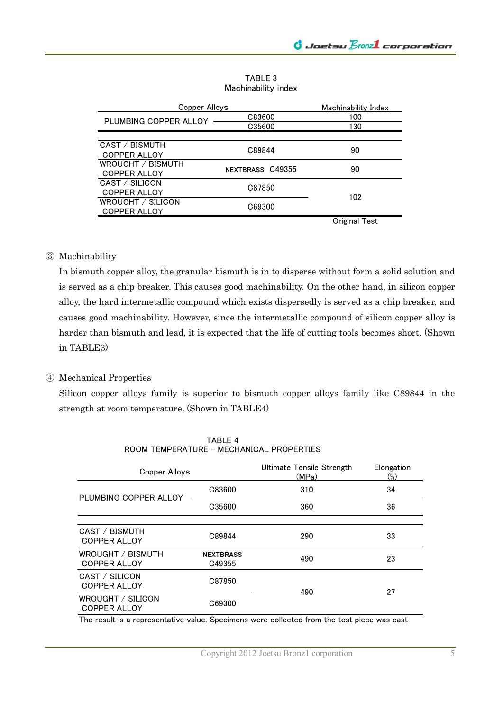TABLE 3 Machinability index

| Copper Allovs         | Machinability Index |               |  |
|-----------------------|---------------------|---------------|--|
| PLUMBING COPPER ALLOY | C83600              | 100           |  |
|                       | C35600              | 130           |  |
|                       |                     |               |  |
| CAST / BISMUTH        | C89844              | 90            |  |
| <b>COPPER ALLOY</b>   |                     |               |  |
| WROUGHT / BISMUTH     | NEXTBRASS C49355    | 90            |  |
| COPPER ALLOY          |                     |               |  |
| CAST / SILICON        | C87850              |               |  |
| <b>COPPER ALLOY</b>   |                     | 102           |  |
| WROUGHT / SILICON     | C69300              |               |  |
| <b>COPPER ALLOY</b>   |                     |               |  |
|                       |                     | Original Test |  |

## ③ Machinability

In bismuth copper alloy, the granular bismuth is in to disperse without form a solid solution and is served as a chip breaker. This causes good machinability. On the other hand, in silicon copper alloy, the hard intermetallic compound which exists dispersedly is served as a chip breaker, and causes good machinability. However, since the intermetallic compound of silicon copper alloy is harder than bismuth and lead, it is expected that the life of cutting tools becomes short. (Shown in TABLE3)

### ④ Mechanical Properties

Silicon copper alloys family is superior to bismuth copper alloys family like C89844 in the strength at room temperature. (Shown in TABLE4)

| Copper Alloys                            |                            | Ultimate Tensile Strength<br>(MPa) | Elongation<br>$(\%)$ |  |
|------------------------------------------|----------------------------|------------------------------------|----------------------|--|
| PLUMBING COPPER ALLOY                    | C83600                     | 310                                | 34                   |  |
|                                          | C35600                     | 360                                | 36                   |  |
|                                          |                            |                                    |                      |  |
| CAST / BISMUTH<br><b>COPPER ALLOY</b>    | C89844                     | 290                                | 33                   |  |
| WROUGHT / BISMUTH<br><b>COPPER ALLOY</b> | <b>NEXTBRASS</b><br>C49355 | 490                                | 23                   |  |
| CAST / SILICON<br><b>COPPER ALLOY</b>    | C87850                     | 490                                | 27                   |  |
| WROUGHT / SILICON<br><b>COPPER ALLOY</b> | C69300                     |                                    |                      |  |

TABLE 4 ROOM TEMPERATURE - MECHANICAL PROPERTIES

The result is a representative value. Specimens were collected from the test piece was cast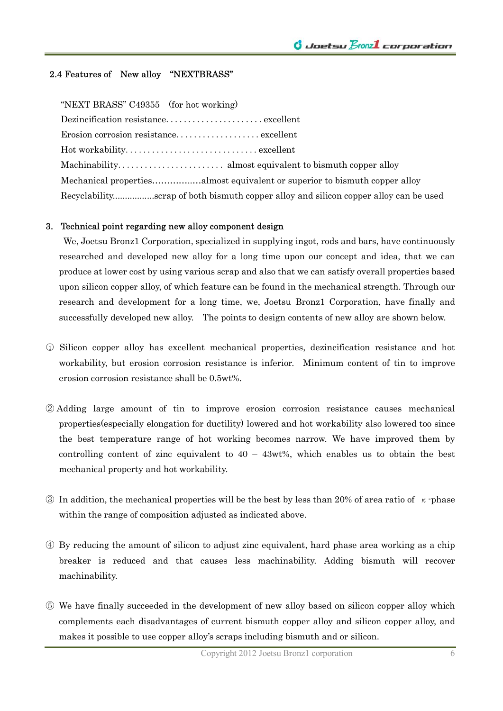## 2.4 Features of New alloy "NEXTBRASS"

"NEXT BRASS" C49355 (for hot working)

| Erosion corrosion resistance excellent                                               |
|--------------------------------------------------------------------------------------|
|                                                                                      |
|                                                                                      |
|                                                                                      |
| Recyclabilityscrap of both bismuth copper alloy and silicon copper alloy can be used |

#### 3. Technical point regarding new alloy component design

 We, Joetsu Bronz1 Corporation, specialized in supplying ingot, rods and bars, have continuously researched and developed new alloy for a long time upon our concept and idea, that we can produce at lower cost by using various scrap and also that we can satisfy overall properties based upon silicon copper alloy, of which feature can be found in the mechanical strength. Through our research and development for a long time, we, Joetsu Bronz1 Corporation, have finally and successfully developed new alloy. The points to design contents of new alloy are shown below.

- ○<sup>1</sup> Silicon copper alloy has excellent mechanical properties, dezincification resistance and hot workability, but erosion corrosion resistance is inferior. Minimum content of tin to improve erosion corrosion resistance shall be 0.5wt%.
- ② Adding large amount of tin to improve erosion corrosion resistance causes mechanical properties(especially elongation for ductility) lowered and hot workability also lowered too since the best temperature range of hot working becomes narrow. We have improved them by controlling content of zinc equivalent to  $40 - 43wt$ %, which enables us to obtain the best mechanical property and hot workability.
- ③ In addition, the mechanical properties will be the best by less than 20% of area ratio of κ-phase within the range of composition adjusted as indicated above.
- ④ By reducing the amount of silicon to adjust zinc equivalent, hard phase area working as a chip breaker is reduced and that causes less machinability. Adding bismuth will recover machinability.
- ⑤ We have finally succeeded in the development of new alloy based on silicon copper alloy which complements each disadvantages of current bismuth copper alloy and silicon copper alloy, and makes it possible to use copper alloy's scraps including bismuth and or silicon.